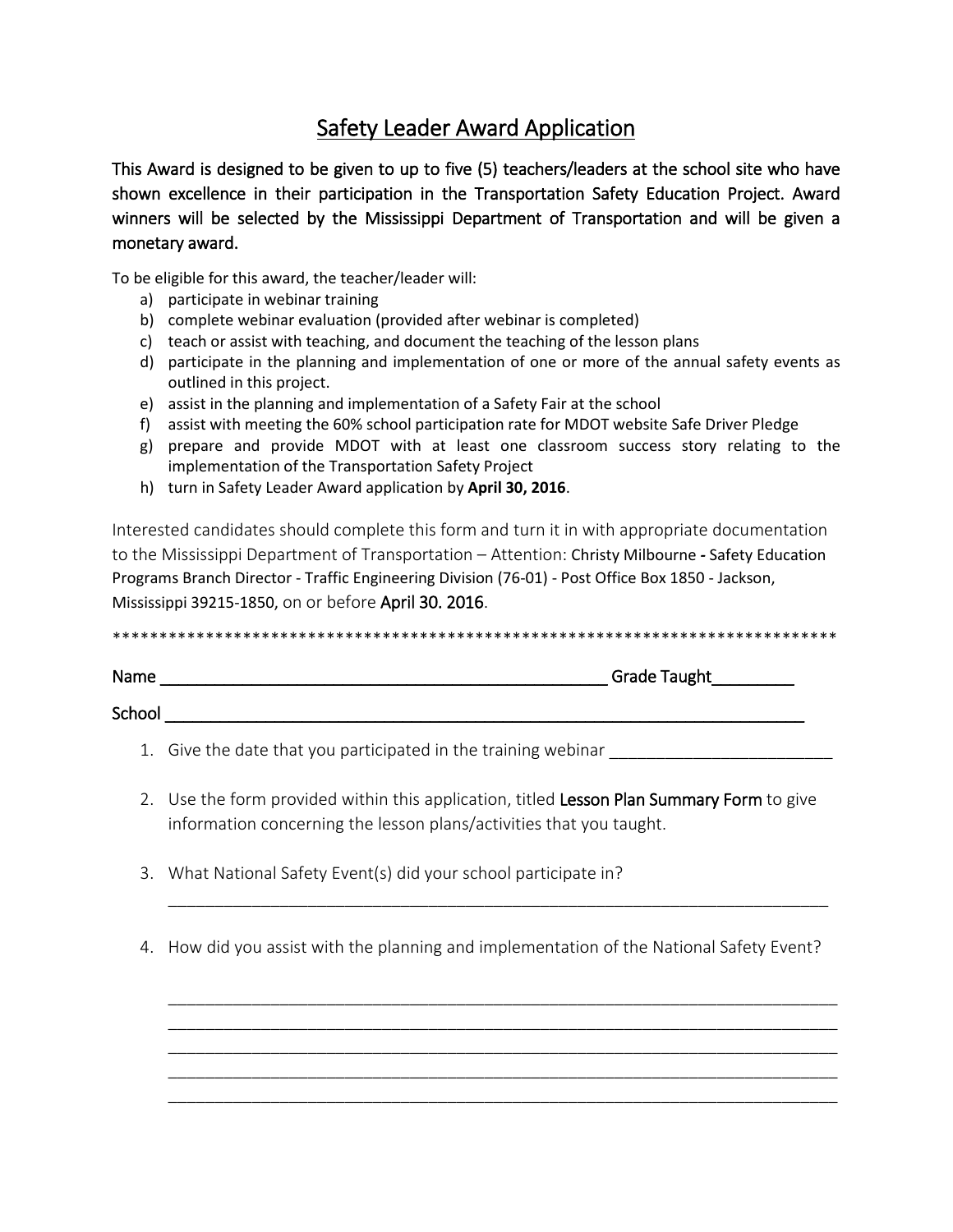## Safety Leader Award Application

This Award is designed to be given to up to five (5) teachers/leaders at the school site who have shown excellence in their participation in the Transportation Safety Education Project. Award winners will be selected by the Mississippi Department of Transportation and will be given a monetary award.

To be eligible for this award, the teacher/leader will:

- a) participate in webinar training
- b) complete webinar evaluation (provided after webinar is completed)
- c) teach or assist with teaching, and document the teaching of the lesson plans
- d) participate in the planning and implementation of one or more of the annual safety events as outlined in this project.
- e) assist in the planning and implementation of a Safety Fair at the school
- f) assist with meeting the 60% school participation rate for MDOT website Safe Driver Pledge
- g) prepare and provide MDOT with at least one classroom success story relating to the implementation of the Transportation Safety Project
- h) turn in Safety Leader Award application by **April 30, 2016**.

Interested candidates should complete this form and turn it in with appropriate documentation to the Mississippi Department of Transportation – Attention: Christy Milbourne *-* Safety Education Programs Branch Director - Traffic Engineering Division (76-01) - Post Office Box 1850 - Jackson, Mississippi 39215-1850, on or before April 30. 2016.

\*\*\*\*\*\*\*\*\*\*\*\*\*\*\*\*\*\*\*\*\*\*\*\*\*\*\*\*\*\*\*\*\*\*\*\*\*\*\*\*\*\*\*\*\*\*\*\*\*\*\*\*\*\*\*\*\*\*\*\*\*\*\*\*\*\*\*\*\*\*\*\*\*\*\*\*\*\*

Name \_\_\_\_\_\_\_\_\_\_\_\_\_\_\_\_\_\_\_\_\_\_\_\_\_\_\_\_\_\_\_\_\_\_\_\_\_\_\_\_\_\_\_\_\_\_\_\_\_ Grade Taught\_\_\_\_\_\_\_\_\_

School \_\_\_\_\_\_\_\_\_\_\_\_\_\_\_\_\_\_\_\_\_\_\_\_\_\_\_\_\_\_\_\_\_\_\_\_\_\_\_\_\_\_\_\_\_\_\_\_\_\_\_\_\_\_\_\_\_\_\_\_\_\_\_\_\_\_\_\_\_\_

- 1. Give the date that you participated in the training webinar
- 2. Use the form provided within this application, titled Lesson Plan Summary Form to give information concerning the lesson plans/activities that you taught.
- 3. What National Safety Event(s) did your school participate in?
- 4. How did you assist with the planning and implementation of the National Safety Event?

\_\_\_\_\_\_\_\_\_\_\_\_\_\_\_\_\_\_\_\_\_\_\_\_\_\_\_\_\_\_\_\_\_\_\_\_\_\_\_\_\_\_\_\_\_\_\_\_\_\_\_\_\_\_\_\_\_\_\_\_\_\_\_\_\_\_\_\_\_\_\_

\_\_\_\_\_\_\_\_\_\_\_\_\_\_\_\_\_\_\_\_\_\_\_\_\_\_\_\_\_\_\_\_\_\_\_\_\_\_\_\_\_\_\_\_\_\_\_\_\_\_\_\_\_\_\_\_\_\_\_\_\_\_\_\_\_\_\_\_\_\_\_\_ \_\_\_\_\_\_\_\_\_\_\_\_\_\_\_\_\_\_\_\_\_\_\_\_\_\_\_\_\_\_\_\_\_\_\_\_\_\_\_\_\_\_\_\_\_\_\_\_\_\_\_\_\_\_\_\_\_\_\_\_\_\_\_\_\_\_\_\_\_\_\_\_ \_\_\_\_\_\_\_\_\_\_\_\_\_\_\_\_\_\_\_\_\_\_\_\_\_\_\_\_\_\_\_\_\_\_\_\_\_\_\_\_\_\_\_\_\_\_\_\_\_\_\_\_\_\_\_\_\_\_\_\_\_\_\_\_\_\_\_\_\_\_\_\_ \_\_\_\_\_\_\_\_\_\_\_\_\_\_\_\_\_\_\_\_\_\_\_\_\_\_\_\_\_\_\_\_\_\_\_\_\_\_\_\_\_\_\_\_\_\_\_\_\_\_\_\_\_\_\_\_\_\_\_\_\_\_\_\_\_\_\_\_\_\_\_\_ \_\_\_\_\_\_\_\_\_\_\_\_\_\_\_\_\_\_\_\_\_\_\_\_\_\_\_\_\_\_\_\_\_\_\_\_\_\_\_\_\_\_\_\_\_\_\_\_\_\_\_\_\_\_\_\_\_\_\_\_\_\_\_\_\_\_\_\_\_\_\_\_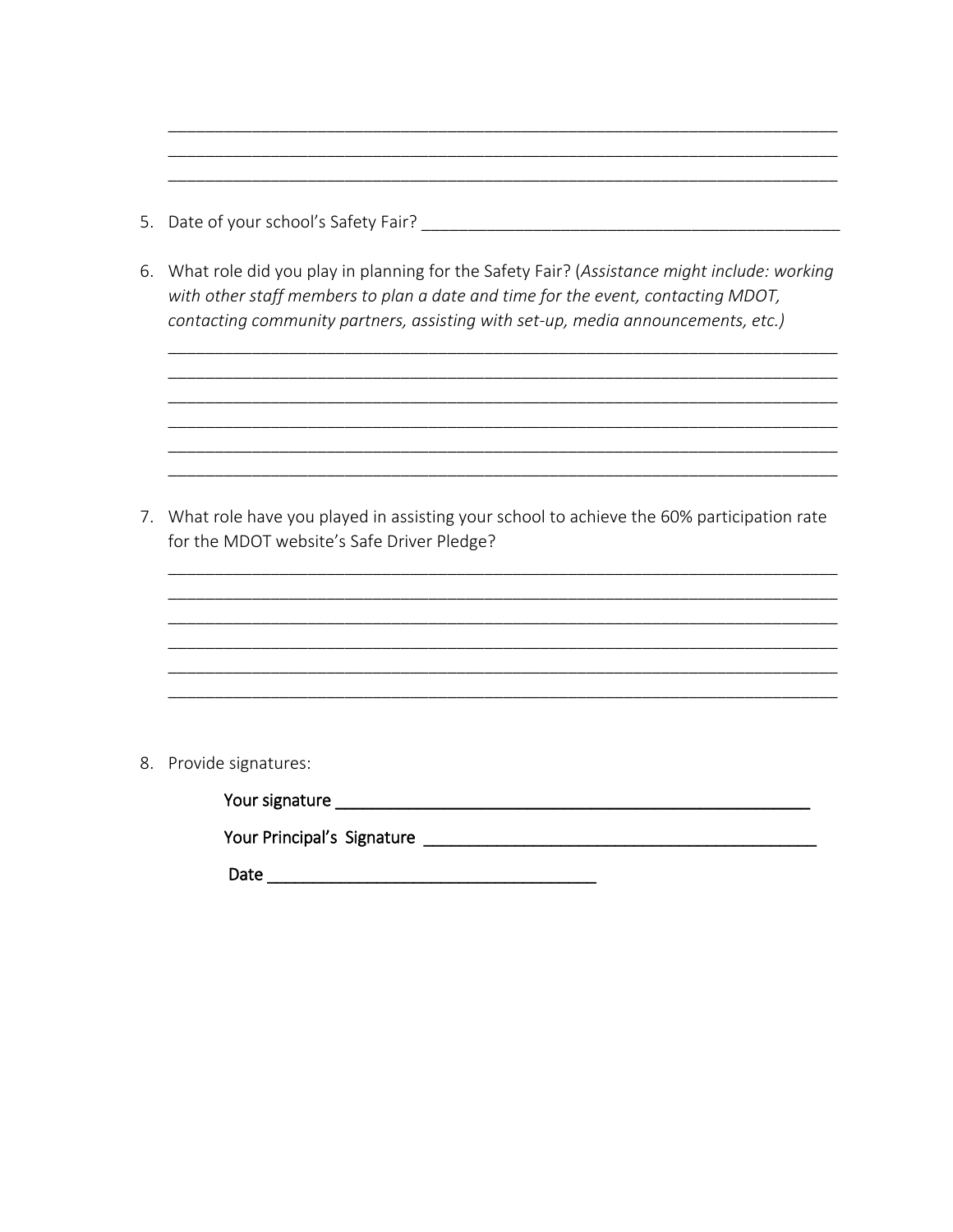- 
- 6. What role did you play in planning for the Safety Fair? (Assistance might include: working with other staff members to plan a date and time for the event, contacting MDOT, contacting community partners, assisting with set-up, media announcements, etc.)

7. What role have you played in assisting your school to achieve the 60% participation rate for the MDOT website's Safe Driver Pledge?

8. Provide signatures:

| Your signature             |  |
|----------------------------|--|
| Your Principal's Signature |  |
| Date                       |  |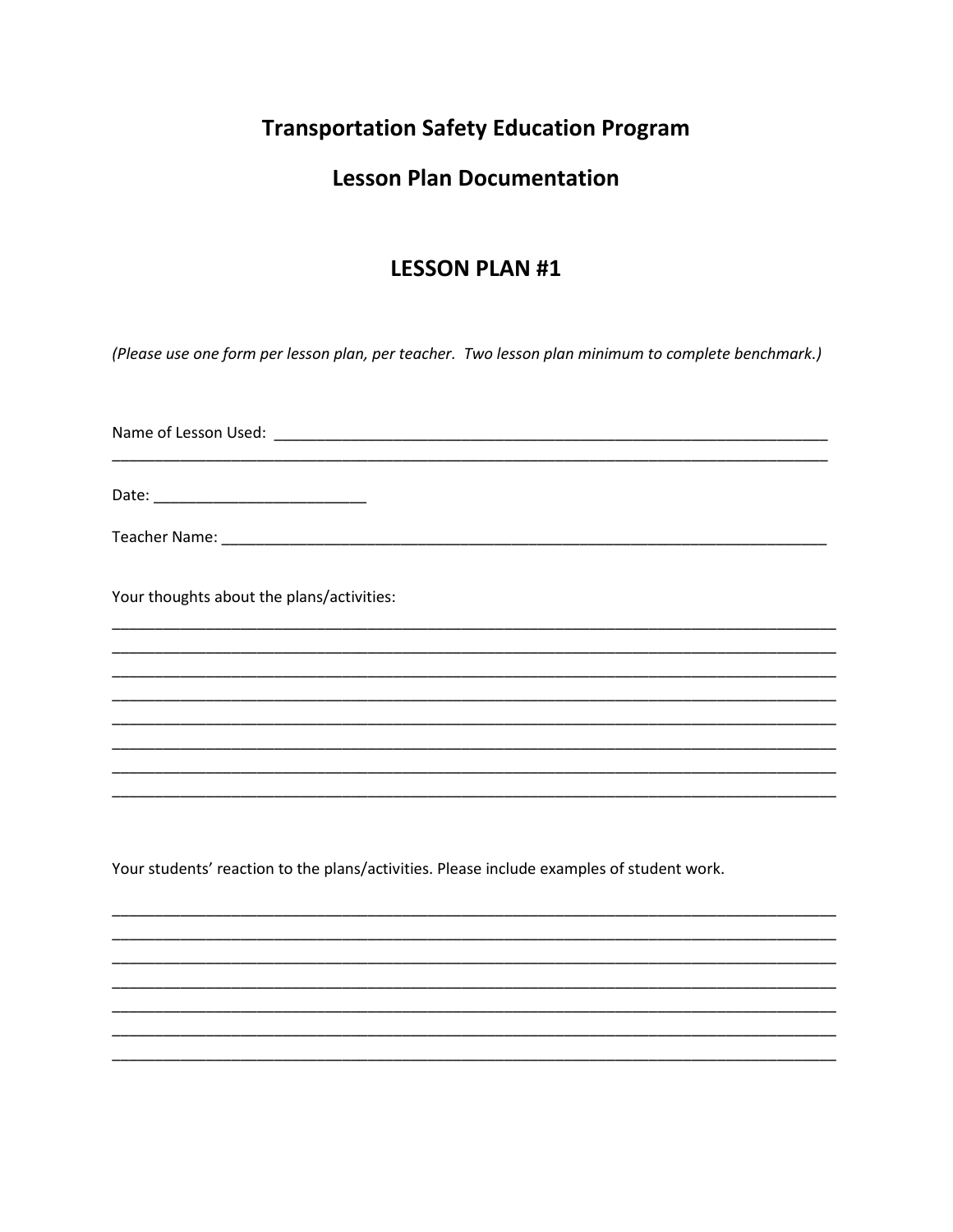#### **Lesson Plan Documentation**

## **LESSON PLAN #1**

(Please use one form per lesson plan, per teacher. Two lesson plan minimum to complete benchmark.)

Your thoughts about the plans/activities: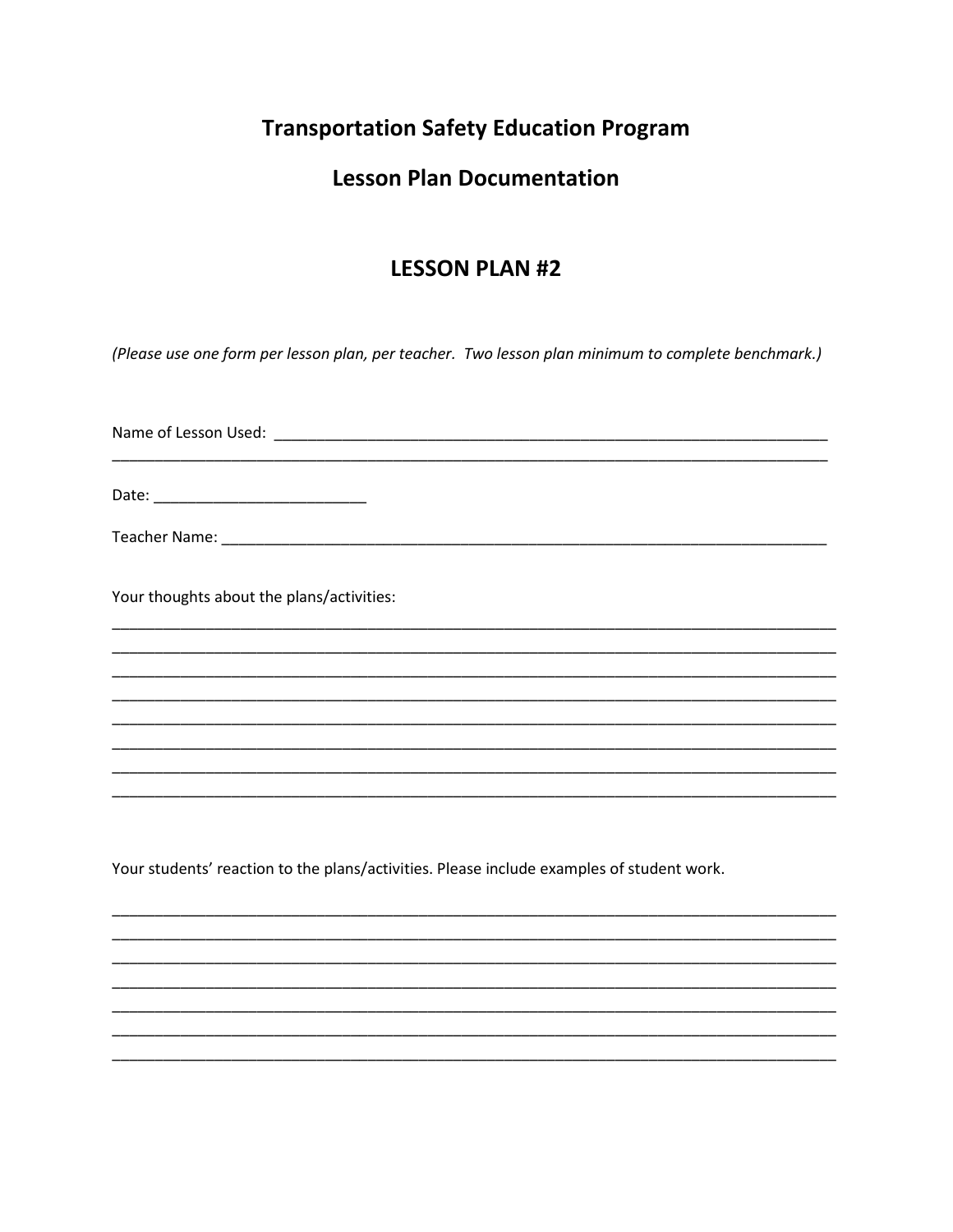#### **Lesson Plan Documentation**

## **LESSON PLAN #2**

(Please use one form per lesson plan, per teacher. Two lesson plan minimum to complete benchmark.)

Your thoughts about the plans/activities: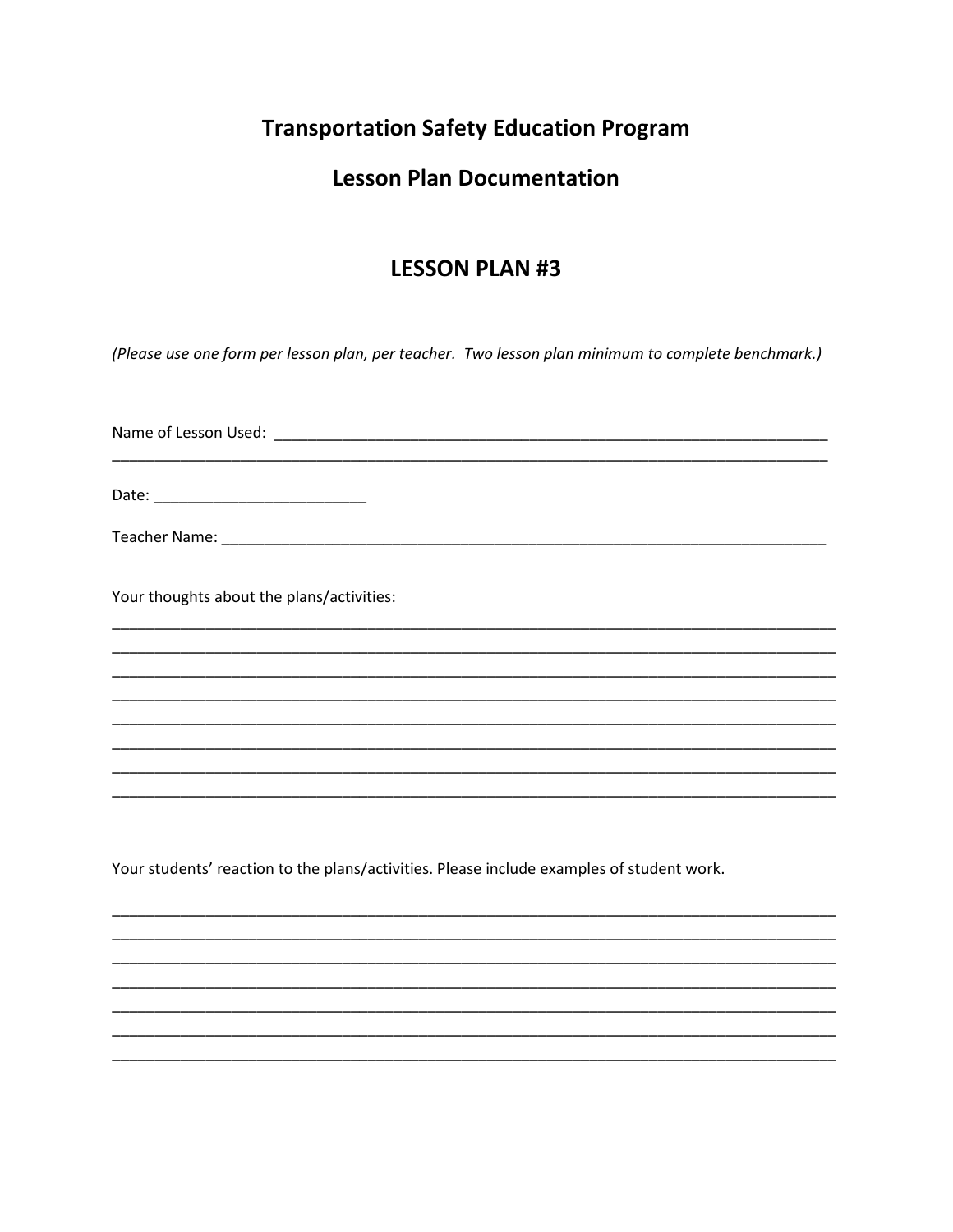#### **Lesson Plan Documentation**

## **LESSON PLAN #3**

(Please use one form per lesson plan, per teacher. Two lesson plan minimum to complete benchmark.)

Your thoughts about the plans/activities: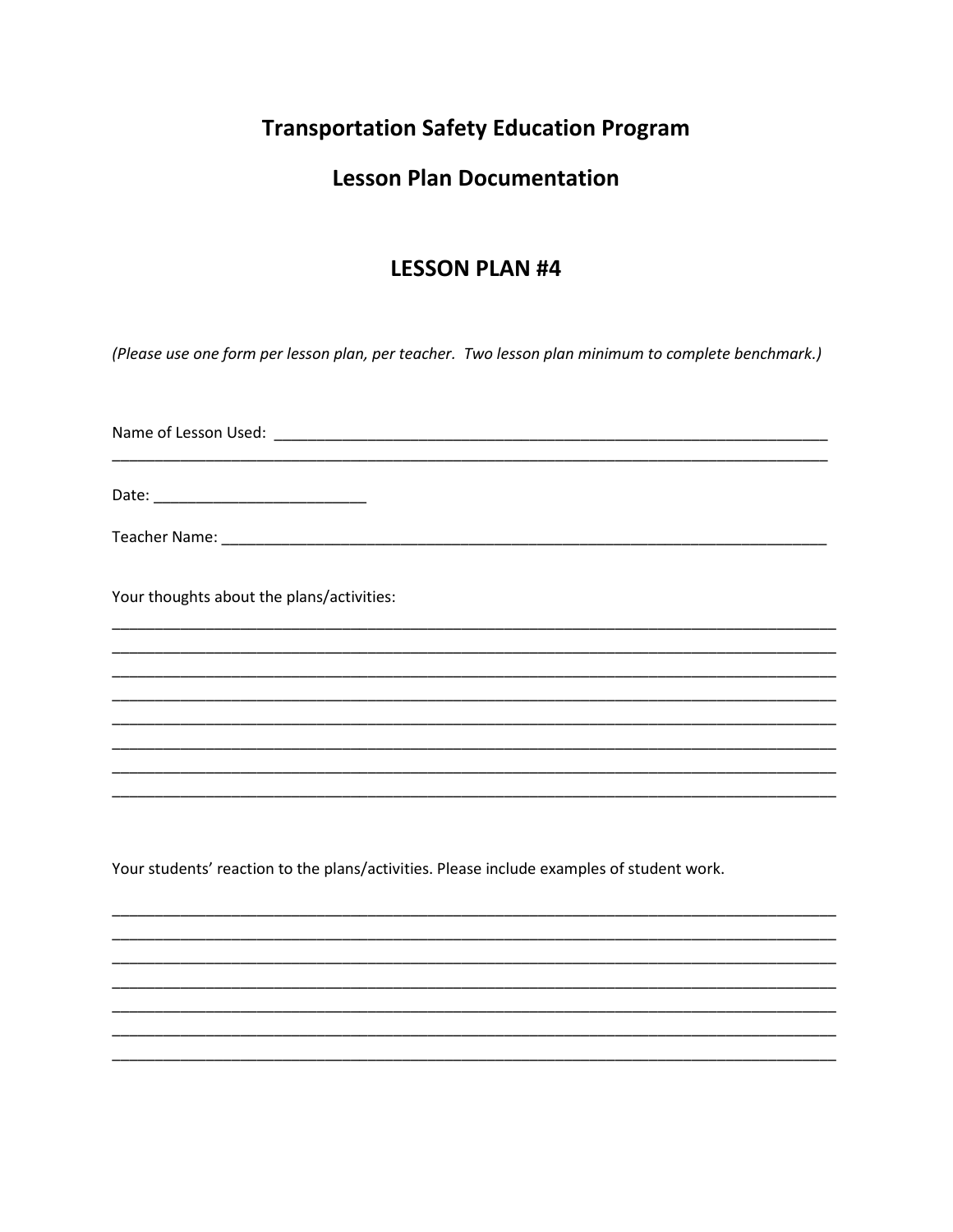#### **Lesson Plan Documentation**

## **LESSON PLAN #4**

(Please use one form per lesson plan, per teacher. Two lesson plan minimum to complete benchmark.)

Your thoughts about the plans/activities: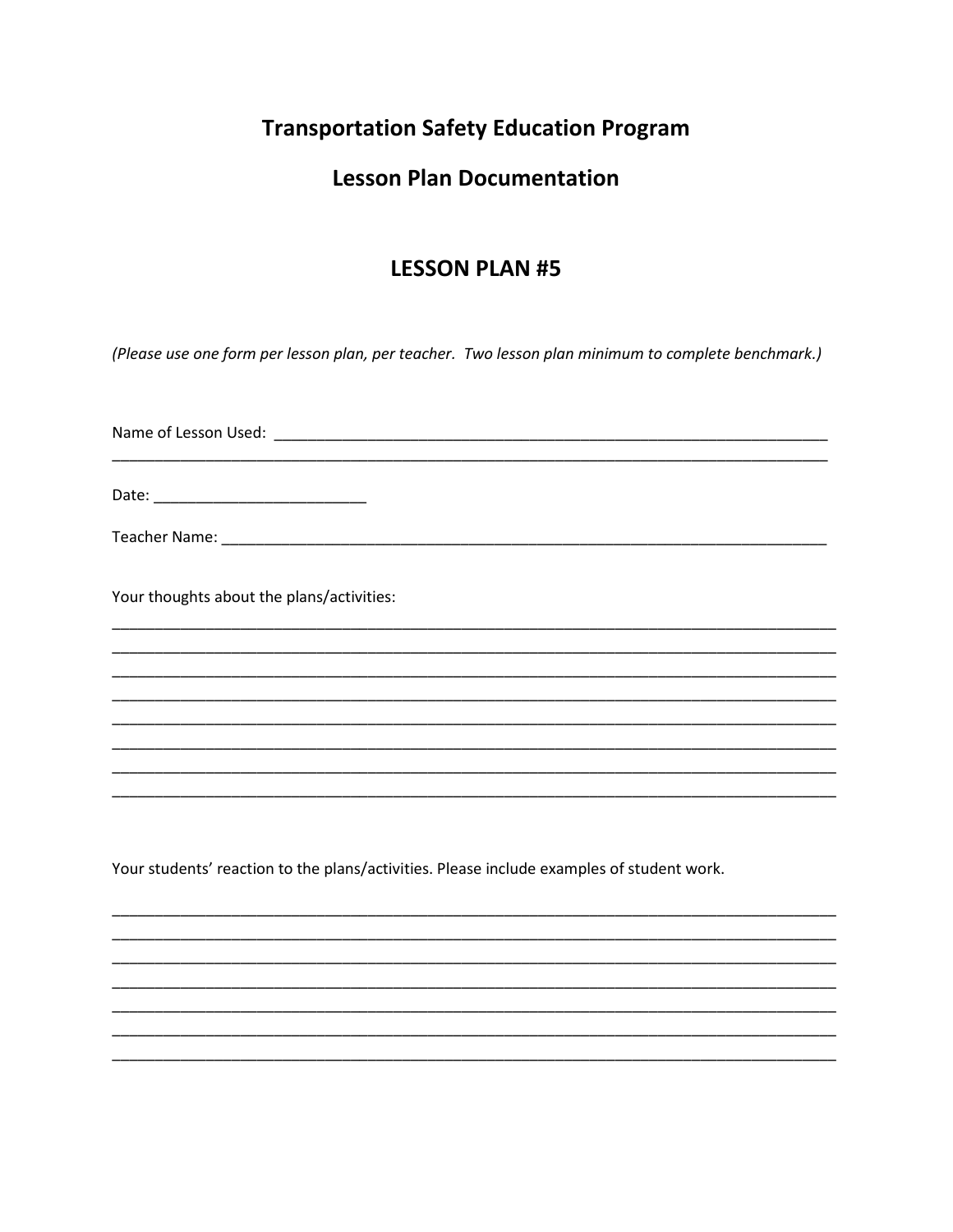#### **Lesson Plan Documentation**

## **LESSON PLAN #5**

(Please use one form per lesson plan, per teacher. Two lesson plan minimum to complete benchmark.)

Your thoughts about the plans/activities: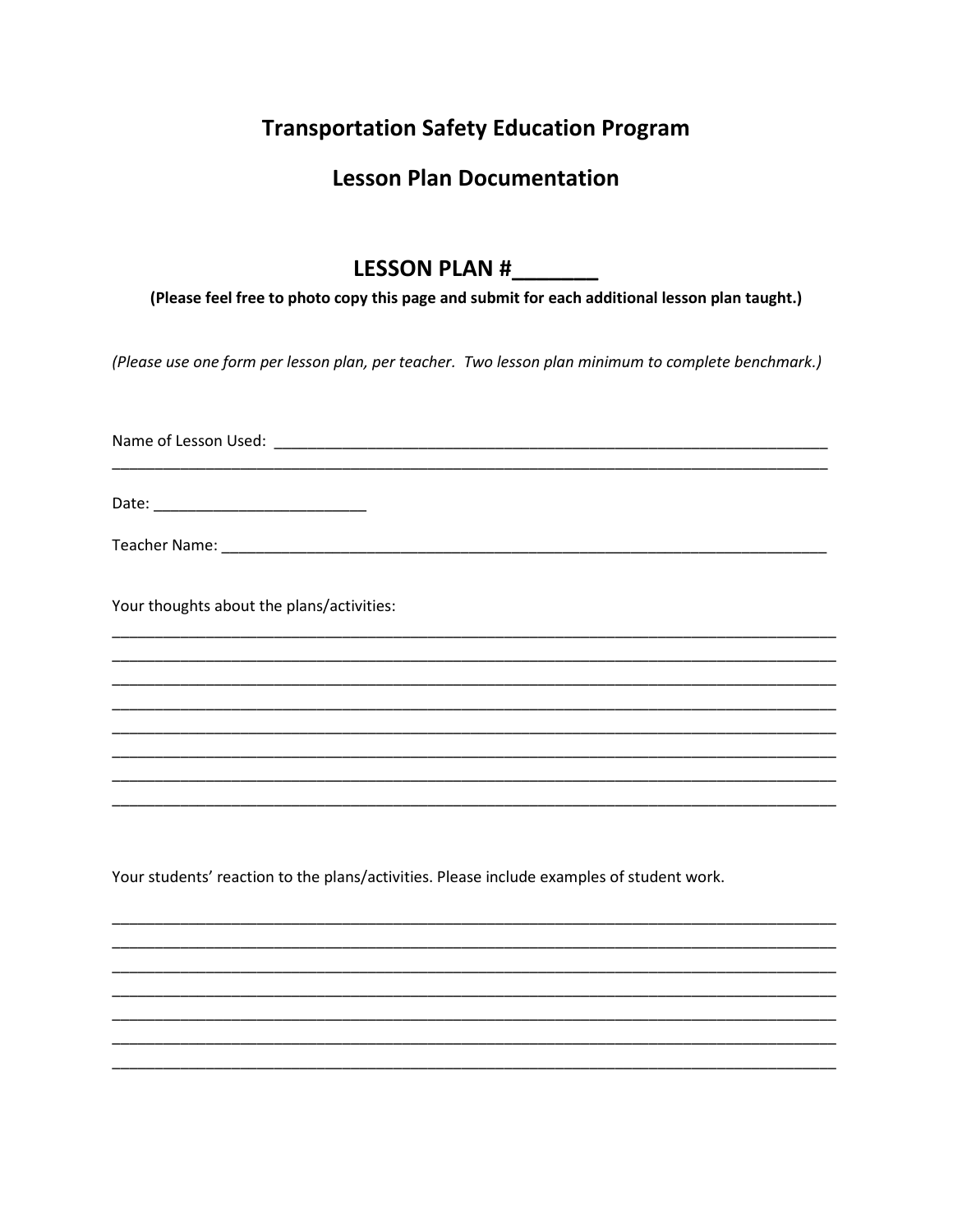#### **Lesson Plan Documentation**

#### LESSON PLAN #

(Please feel free to photo copy this page and submit for each additional lesson plan taught.)

(Please use one form per lesson plan, per teacher. Two lesson plan minimum to complete benchmark.)

Your thoughts about the plans/activities: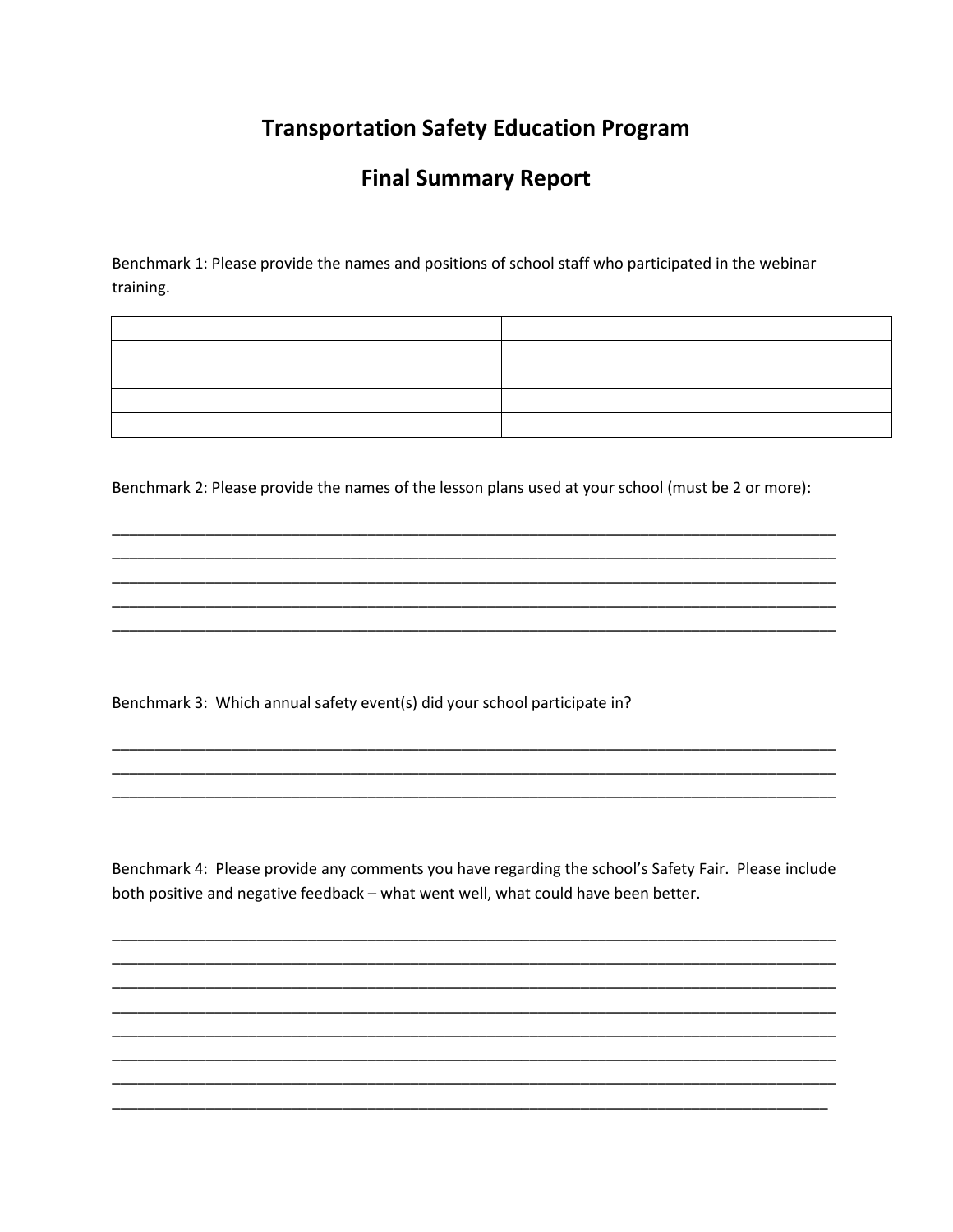## **Final Summary Report**

Benchmark 1: Please provide the names and positions of school staff who participated in the webinar training.

| the contract of the contract of the contract of the contract of the contract of |  |
|---------------------------------------------------------------------------------|--|

Benchmark 2: Please provide the names of the lesson plans used at your school (must be 2 or more):

Benchmark 3: Which annual safety event(s) did your school participate in?

Benchmark 4: Please provide any comments you have regarding the school's Safety Fair. Please include both positive and negative feedback - what went well, what could have been better.